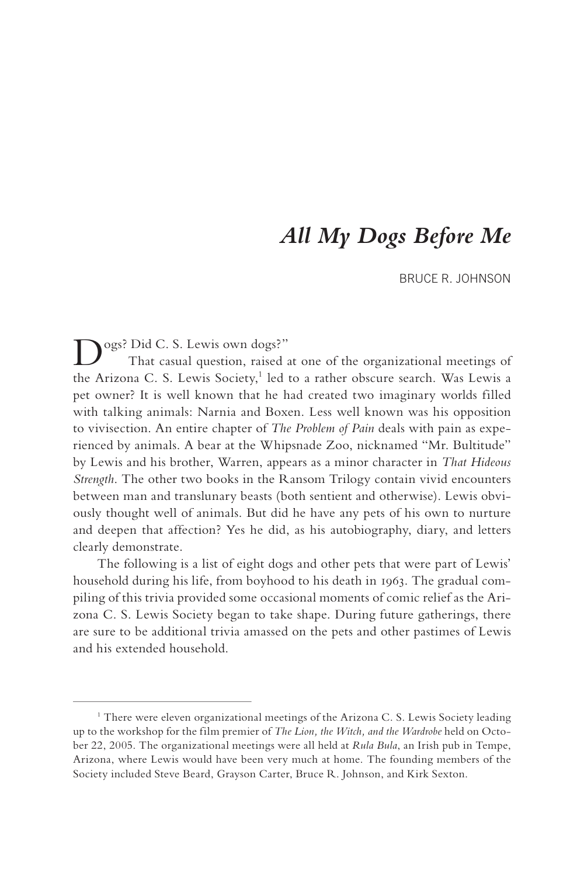## *All My Dogs Before Me*

BRUCE R. JOHNSON

ogs? Did C. S. Lewis own dogs?"

That casual question, raised at one of the organizational meetings of the Arizona C. S. Lewis Society,<sup>1</sup> led to a rather obscure search. Was Lewis a pet owner? It is well known that he had created two imaginary worlds filled with talking animals: Narnia and Boxen. Less well known was his opposition to vivisection. An entire chapter of *The Problem of Pain* deals with pain as experienced by animals. A bear at the Whipsnade Zoo, nicknamed "Mr. Bultitude" by Lewis and his brother, Warren, appears as a minor character in *That Hideous Strength*. The other two books in the Ransom Trilogy contain vivid encounters between man and translunary beasts (both sentient and otherwise). Lewis obviously thought well of animals. But did he have any pets of his own to nurture and deepen that affection? Yes he did, as his autobiography, diary, and letters clearly demonstrate.

The following is a list of eight dogs and other pets that were part of Lewis' household during his life, from boyhood to his death in 1963. The gradual compiling of this trivia provided some occasional moments of comic relief as the Arizona C. S. Lewis Society began to take shape. During future gatherings, there are sure to be additional trivia amassed on the pets and other pastimes of Lewis and his extended household.

<sup>&</sup>lt;sup>1</sup> There were eleven organizational meetings of the Arizona C. S. Lewis Society leading up to the workshop for the film premier of *The Lion, the Witch, and the Wardrobe* held on October 22, 2005. The organizational meetings were all held at *Rula Bula*, an Irish pub in Tempe, Arizona, where Lewis would have been very much at home. The founding members of the Society included Steve Beard, Grayson Carter, Bruce R. Johnson, and Kirk Sexton.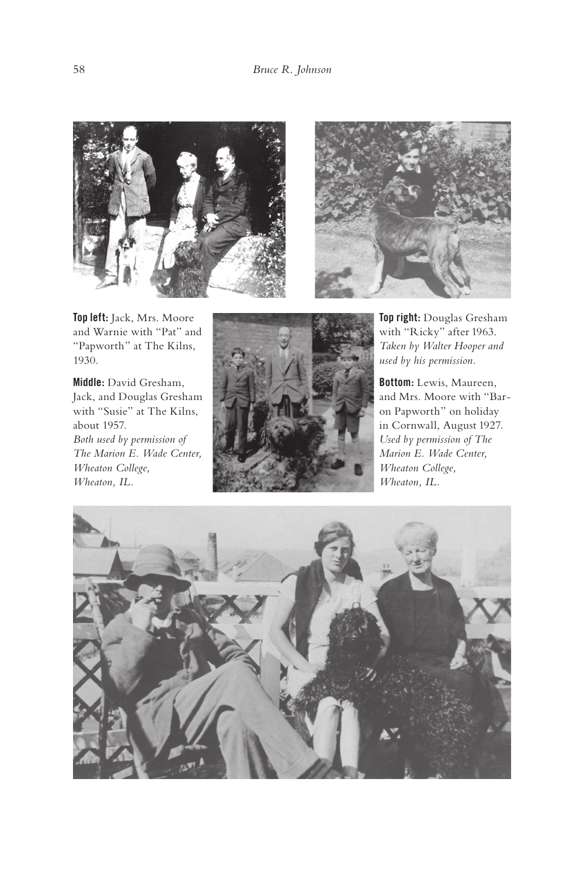



Top left: Jack, Mrs. Moore and Warnie with "Pat" and "Papworth" at The Kilns, 1930.

Middle: David Gresham, Jack, and Douglas Gresham with "Susie" at The Kilns, about 1957. *Both used by permission of The Marion E. Wade Center, Wheaton College, Wheaton, IL.*



Top right: Douglas Gresham with "Ricky" after 1963. *Taken by Walter Hooper and used by his permission.*

Bottom: Lewis, Maureen, and Mrs. Moore with "Baron Papworth" on holiday in Cornwall, August 1927. *Used by permission of The Marion E. Wade Center, Wheaton College, Wheaton, IL.*

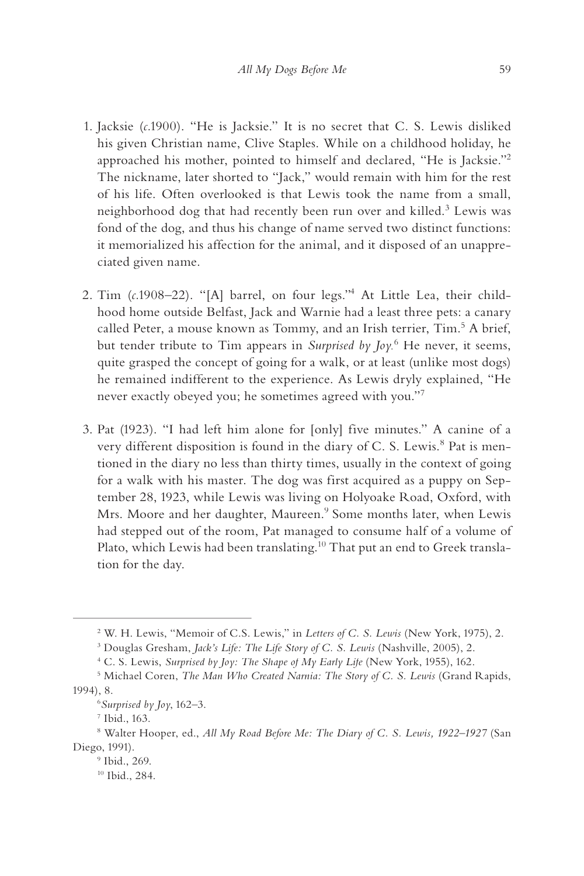- 1. Jacksie (*c.*1900). "He is Jacksie." It is no secret that C. S. Lewis disliked his given Christian name, Clive Staples. While on a childhood holiday, he approached his mother, pointed to himself and declared, "He is Jacksie."2 The nickname, later shorted to "Jack," would remain with him for the rest of his life. Often overlooked is that Lewis took the name from a small, neighborhood dog that had recently been run over and killed.<sup>3</sup> Lewis was fond of the dog, and thus his change of name served two distinct functions: it memorialized his affection for the animal, and it disposed of an unappreciated given name.
- 2. Tim (*c.*1908–22). "[A] barrel, on four legs."4 At Little Lea, their childhood home outside Belfast, Jack and Warnie had a least three pets: a canary called Peter, a mouse known as Tommy, and an Irish terrier, Tim.<sup>5</sup> A brief, but tender tribute to Tim appears in *Surprised by Joy*. 6 He never, it seems, quite grasped the concept of going for a walk, or at least (unlike most dogs) he remained indifferent to the experience. As Lewis dryly explained, "He never exactly obeyed you; he sometimes agreed with you."7
	- 3. Pat (1923). "I had left him alone for [only] five minutes." A canine of a very different disposition is found in the diary of C. S. Lewis.<sup>8</sup> Pat is mentioned in the diary no less than thirty times, usually in the context of going for a walk with his master. The dog was first acquired as a puppy on September 28, 1923, while Lewis was living on Holyoake Road, Oxford, with Mrs. Moore and her daughter, Maureen.<sup>9</sup> Some months later, when Lewis had stepped out of the room, Pat managed to consume half of a volume of Plato, which Lewis had been translating.<sup>10</sup> That put an end to Greek translation for the day.

<sup>2</sup> W. H. Lewis, "Memoir of C.S. Lewis," in *Letters of C. S. Lewis* (New York, 1975), 2.

<sup>&</sup>lt;sup>3</sup> Douglas Gresham, *Jack's Life: The Life Story of C. S. Lewis* (Nashville, 2005), 2.

<sup>&</sup>lt;sup>4</sup> C. S. Lewis, *Surprised by Joy: The Shape of My Early Life* (New York, 1955), 162.

<sup>&</sup>lt;sup>5</sup> Michael Coren, *The Man Who Created Narnia: The Story of C. S. Lewis (Grand Rapids,* 1994), 8.

<sup>6</sup> *Surprised by Joy*, 162–3.

<sup>7</sup> Ibid., 163.

<sup>8</sup> Walter Hooper, ed., *All My Road Before Me: The Diary of C. S. Lewis, 1922–1927* (San Diego, 1991).

<sup>9</sup> Ibid., 269.

<sup>10</sup> Ibid., 284.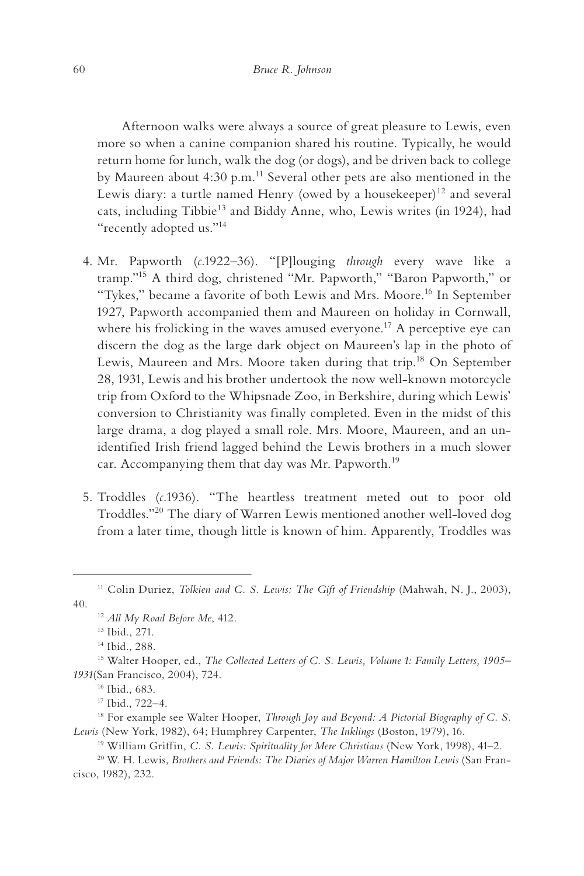Afternoon walks were always a source of great pleasure to Lewis, even more so when a canine companion shared his routine. Typically, he would return home for lunch, walk the dog (or dogs), and be driven back to college by Maureen about  $4:30$  p.m.<sup>11</sup> Several other pets are also mentioned in the Lewis diary: a turtle named Henry (owed by a housekeeper)<sup>12</sup> and several cats, including Tibbie13 and Biddy Anne, who, Lewis writes (in 1924), had "recently adopted us."14

- 4. Mr. Papworth (*c.*1922–36). "[P]louging *through* every wave like a tramp."15 A third dog, christened "Mr. Papworth," "Baron Papworth," or "Tykes," became a favorite of both Lewis and Mrs. Moore.<sup>16</sup> In September 1927, Papworth accompanied them and Maureen on holiday in Cornwall, where his frolicking in the waves amused everyone.<sup>17</sup> A perceptive eye can discern the dog as the large dark object on Maureen's lap in the photo of Lewis, Maureen and Mrs. Moore taken during that trip.<sup>18</sup> On September 28, 1931, Lewis and his brother undertook the now well-known motorcycle trip from Oxford to the Whipsnade Zoo, in Berkshire, during which Lewis' conversion to Christianity was finally completed. Even in the midst of this large drama, a dog played a small role. Mrs. Moore, Maureen, and an unidentified Irish friend lagged behind the Lewis brothers in a much slower car. Accompanying them that day was Mr. Papworth.<sup>19</sup>
- 5. Troddles (*c.*1936). "The heartless treatment meted out to poor old Troddles."20 The diary of Warren Lewis mentioned another well-loved dog from a later time, though little is known of him. Apparently, Troddles was

<sup>11</sup> Colin Duriez, *Tolkien and C. S. Lewis: The Gift of Friendship* (Mahwah, N. J., 2003), 40.

<sup>12</sup> *All My Road Before Me*, 412.

<sup>13</sup> Ibid., 271.

<sup>14</sup> Ibid., 288.

<sup>15</sup> Walter Hooper, ed., *The Collected Letters of C. S. Lewis, Volume 1: Family Letters, 1905– 1931*(San Francisco, 2004), 724.

<sup>16</sup> Ibid., 683.

<sup>17</sup> Ibid., 722–4.

<sup>18</sup> For example see Walter Hooper, *Through Joy and Beyond: A Pictorial Biography of C. S. Lewis* (New York, 1982), 64; Humphrey Carpenter, *The Inklings* (Boston, 1979), 16.

<sup>19</sup> William Griffin, *C. S. Lewis: Spirituality for Mere Christians* (New York, 1998), 41–2.

<sup>20</sup> W. H. Lewis, *Brothers and Friends: The Diaries of Major Warren Hamilton Lewis* (San Francisco, 1982), 232.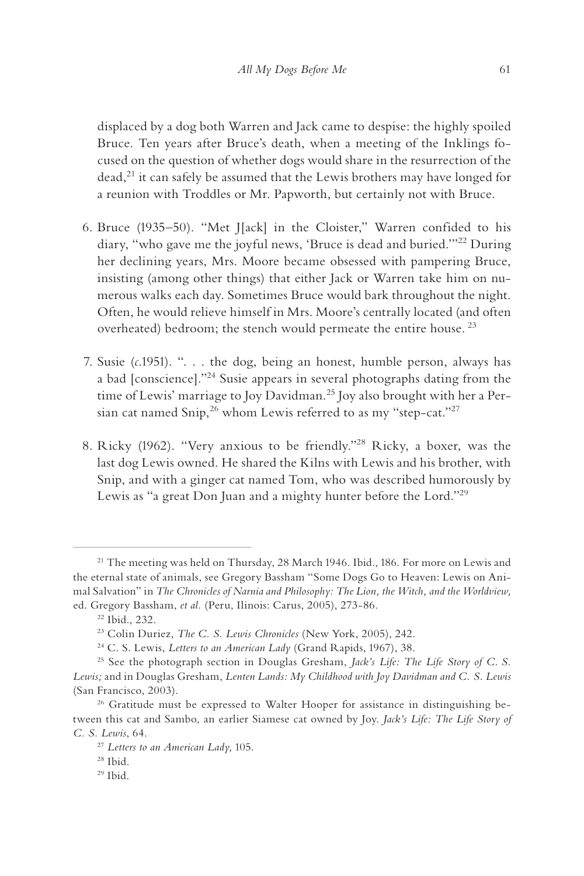displaced by a dog both Warren and Jack came to despise: the highly spoiled Bruce. Ten years after Bruce's death, when a meeting of the Inklings focused on the question of whether dogs would share in the resurrection of the  $\gamma$  dead,<sup>21</sup> it can safely be assumed that the Lewis brothers may have longed for a reunion with Troddles or Mr. Papworth, but certainly not with Bruce.

- 6. Bruce (1935–50). "Met J[ack] in the Cloister," Warren confided to his diary, "who gave me the joyful news, 'Bruce is dead and buried.'"22 During her declining years, Mrs. Moore became obsessed with pampering Bruce, insisting (among other things) that either Jack or Warren take him on numerous walks each day. Sometimes Bruce would bark throughout the night. Often, he would relieve himself in Mrs. Moore's centrally located (and often overheated) bedroom; the stench would permeate the entire house.<sup>23</sup>
- 7. Susie (*c.*1951). ". . . the dog, being an honest, humble person, always has a bad [conscience]."<sup>24</sup> Susie appears in several photographs dating from the time of Lewis' marriage to Joy Davidman.<sup>25</sup> Joy also brought with her a Persian cat named Snip,  $^{26}$  whom Lewis referred to as my "step-cat."<sup>27</sup>
- 8. Ricky (1962). "Very anxious to be friendly."28 Ricky, a boxer, was the last dog Lewis owned. He shared the Kilns with Lewis and his brother, with Snip, and with a ginger cat named Tom, who was described humorously by Lewis as "a great Don Juan and a mighty hunter before the Lord."29

<sup>&</sup>lt;sup>21</sup> The meeting was held on Thursday, 28 March 1946. Ibid., 186. For more on Lewis and the eternal state of animals, see Gregory Bassham "Some Dogs Go to Heaven: Lewis on Animal Salvation" in *The Chronicles of Narnia and Philosophy: The Lion, the Witch, and the Worldview,* ed. Gregory Bassham, *et al.* (Peru, Ilinois: Carus, 2005), 273-86. 22 Ibid., 232.

<sup>23</sup> Colin Duriez, *The C. S. Lewis Chronicles* (New York, 2005), 242.

<sup>24</sup> C. S. Lewis, *Letters to an American Lady* (Grand Rapids, 1967), 38.

<sup>25</sup> See the photograph section in Douglas Gresham, *Jack's Life: The Life Story of C. S. Lewis;* and in Douglas Gresham, *Lenten Lands: My Childhood with Joy Davidman and C. S. Lewis*  (San Francisco, 2003).

<sup>&</sup>lt;sup>26</sup> Gratitude must be expressed to Walter Hooper for assistance in distinguishing between this cat and Sambo, an earlier Siamese cat owned by Joy. *Jack's Life: The Life Story of C. S. Lewis*, 64.

<sup>27</sup> *Letters to an American Lady,* 105.

<sup>28</sup> Ibid.

<sup>29</sup> Ibid.